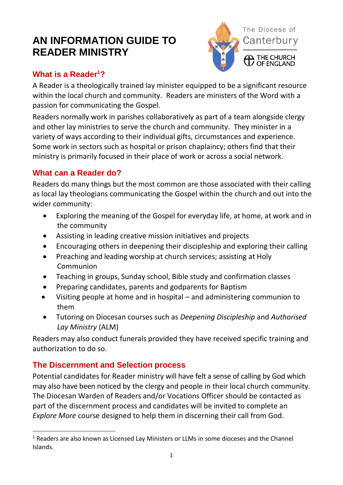# **AN INFORMATION GUIDE TO READER MINISTRY**



## **What is a Reader<sup>1</sup>?**

A Reader is a theologically trained lay minister equipped to be a significant resource within the local church and community. Readers are ministers of the Word with a passion for communicating the Gospel.

Readers normally work in parishes collaboratively as part of a team alongside clergy and other lay ministries to serve the church and community. They minister in a variety of ways according to their individual gifts, circumstances and experience. Some work in sectors such as hospital or prison chaplaincy; others find that their ministry is primarily focused in their place of work or across a social network.

## **What can a Reader do?**

Readers do many things but the most common are those associated with their calling as local lay theologians communicating the Gospel within the church and out into the wider community:

- Exploring the meaning of the Gospel for everyday life, at home, at work and in the community
- Assisting in leading creative mission initiatives and projects
- Encouraging others in deepening their discipleship and exploring their calling
- Preaching and leading worship at church services; assisting at Holy Communion
- Teaching in groups, Sunday school, Bible study and confirmation classes
- Preparing candidates, parents and godparents for Baptism
- Visiting people at home and in hospital and administering communion to them
- Tutoring on Diocesan courses such as *Deepening Discipleship* and *Authorised Lay Ministry* (ALM)

Readers may also conduct funerals provided they have received specific training and authorization to do so.

#### **The Discernment and Selection process**

 $\overline{a}$ 

Potential candidates for Reader ministry will have felt a sense of calling by God which may also have been noticed by the clergy and people in their local church community. The Diocesan Warden of Readers and/or Vocations Officer should be contacted as part of the discernment process and candidates will be invited to complete an *Explore More* course designed to help them in discerning their call from God.

<sup>&</sup>lt;sup>1</sup> Readers are also known as Licensed Lay Ministers or LLMs in some dioceses and the Channel Islands.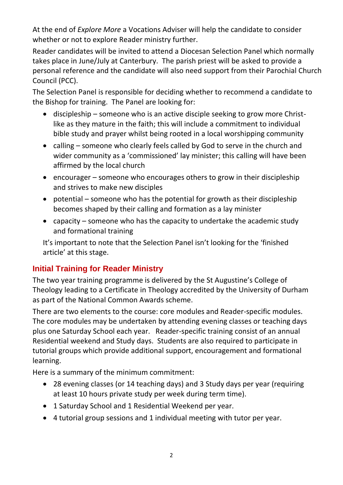At the end of *Explore More* a Vocations Adviser will help the candidate to consider whether or not to explore Reader ministry further.

Reader candidates will be invited to attend a Diocesan Selection Panel which normally takes place in June/July at Canterbury. The parish priest will be asked to provide a personal reference and the candidate will also need support from their Parochial Church Council (PCC).

The Selection Panel is responsible for deciding whether to recommend a candidate to the Bishop for training. The Panel are looking for:

- discipleship someone who is an active disciple seeking to grow more Christlike as they mature in the faith; this will include a commitment to individual bible study and prayer whilst being rooted in a local worshipping community
- calling someone who clearly feels called by God to serve in the church and wider community as a 'commissioned' lay minister; this calling will have been affirmed by the local church
- encourager someone who encourages others to grow in their discipleship and strives to make new disciples
- potential someone who has the potential for growth as their discipleship becomes shaped by their calling and formation as a lay minister
- capacity someone who has the capacity to undertake the academic study and formational training

It's important to note that the Selection Panel isn't looking for the 'finished article' at this stage.

## **Initial Training for Reader Ministry**

The two year training programme is delivered by the St Augustine's College of Theology leading to a Certificate in Theology accredited by the University of Durham as part of the National Common Awards scheme.

There are two elements to the course: core modules and Reader-specific modules. The core modules may be undertaken by attending evening classes or teaching days plus one Saturday School each year. Reader-specific training consist of an annual Residential weekend and Study days. Students are also required to participate in tutorial groups which provide additional support, encouragement and formational learning.

Here is a summary of the minimum commitment:

- 28 evening classes (or 14 teaching days) and 3 Study days per year (requiring at least 10 hours private study per week during term time).
- 1 Saturday School and 1 Residential Weekend per year.
- 4 tutorial group sessions and 1 individual meeting with tutor per year.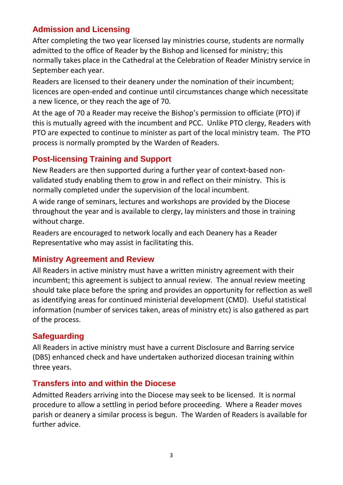## **Admission and Licensing**

After completing the two year licensed lay ministries course, students are normally admitted to the office of Reader by the Bishop and licensed for ministry; this normally takes place in the Cathedral at the Celebration of Reader Ministry service in September each year.

Readers are licensed to their deanery under the nomination of their incumbent; licences are open-ended and continue until circumstances change which necessitate a new licence, or they reach the age of 70.

At the age of 70 a Reader may receive the Bishop's permission to officiate (PTO) if this is mutually agreed with the incumbent and PCC. Unlike PTO clergy, Readers with PTO are expected to continue to minister as part of the local ministry team. The PTO process is normally prompted by the Warden of Readers.

## **Post-licensing Training and Support**

New Readers are then supported during a further year of context-based nonvalidated study enabling them to grow in and reflect on their ministry. This is normally completed under the supervision of the local incumbent.

A wide range of seminars, lectures and workshops are provided by the Diocese throughout the year and is available to clergy, lay ministers and those in training without charge.

Readers are encouraged to network locally and each Deanery has a Reader Representative who may assist in facilitating this.

#### **Ministry Agreement and Review**

All Readers in active ministry must have a written ministry agreement with their incumbent; this agreement is subject to annual review. The annual review meeting should take place before the spring and provides an opportunity for reflection as well as identifying areas for continued ministerial development (CMD). Useful statistical information (number of services taken, areas of ministry etc) is also gathered as part of the process.

## **Safeguarding**

All Readers in active ministry must have a current Disclosure and Barring service (DBS) enhanced check and have undertaken authorized diocesan training within three years.

#### **Transfers into and within the Diocese**

Admitted Readers arriving into the Diocese may seek to be licensed. It is normal procedure to allow a settling in period before proceeding. Where a Reader moves parish or deanery a similar process is begun. The Warden of Readers is available for further advice.